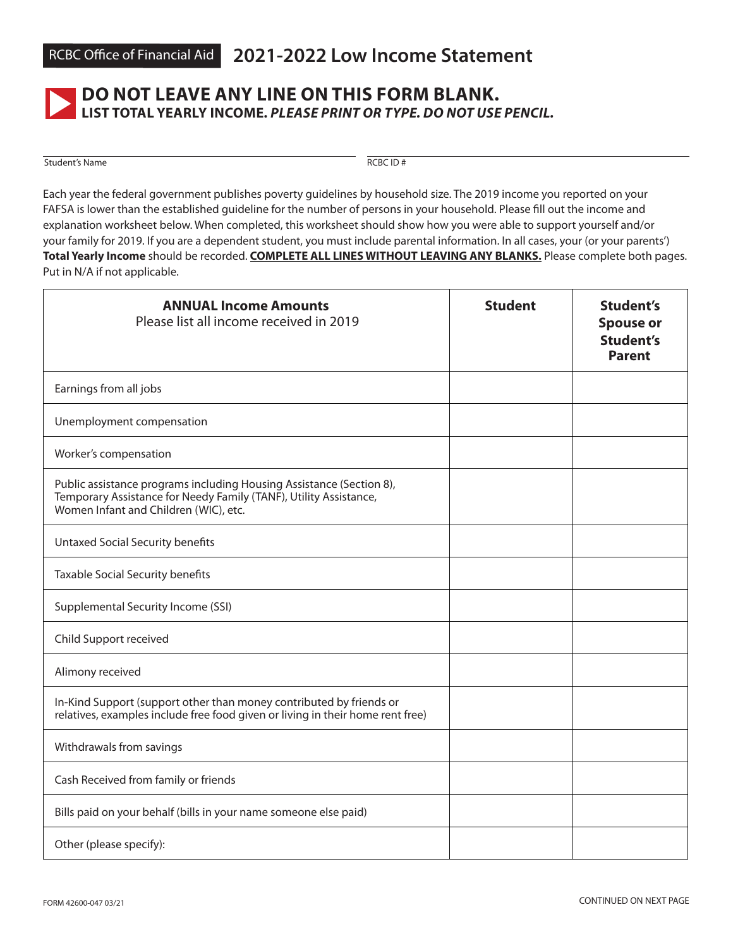

## **DO NOT LEAVE ANY LINE ON THIS FORM BLANK. LIST TOTAL YEARLY INCOME.** *PLEASE PRINT OR TYPE. DO NOT USE PENCIL.*

Student's Name RCBC ID #

Each year the federal government publishes poverty guidelines by household size. The 2019 income you reported on your FAFSA is lower than the established guideline for the number of persons in your household. Please fill out the income and explanation worksheet below. When completed, this worksheet should show how you were able to support yourself and/or your family for 2019. If you are a dependent student, you must include parental information. In all cases, your (or your parents') **Total Yearly Income** should be recorded. **COMPLETE ALL LINES WITHOUT LEAVING ANY BLANKS.** Please complete both pages. Put in N/A if not applicable.

| <b>ANNUAL Income Amounts</b><br>Please list all income received in 2019                                                                                                            | <b>Student</b> | <b>Student's</b><br><b>Spouse or</b><br><b>Student's</b><br><b>Parent</b> |
|------------------------------------------------------------------------------------------------------------------------------------------------------------------------------------|----------------|---------------------------------------------------------------------------|
| Earnings from all jobs                                                                                                                                                             |                |                                                                           |
| Unemployment compensation                                                                                                                                                          |                |                                                                           |
| Worker's compensation                                                                                                                                                              |                |                                                                           |
| Public assistance programs including Housing Assistance (Section 8),<br>Temporary Assistance for Needy Family (TANF), Utility Assistance,<br>Women Infant and Children (WIC), etc. |                |                                                                           |
| <b>Untaxed Social Security benefits</b>                                                                                                                                            |                |                                                                           |
| Taxable Social Security benefits                                                                                                                                                   |                |                                                                           |
| Supplemental Security Income (SSI)                                                                                                                                                 |                |                                                                           |
| Child Support received                                                                                                                                                             |                |                                                                           |
| Alimony received                                                                                                                                                                   |                |                                                                           |
| In-Kind Support (support other than money contributed by friends or<br>relatives, examples include free food given or living in their home rent free)                              |                |                                                                           |
| Withdrawals from savings                                                                                                                                                           |                |                                                                           |
| Cash Received from family or friends                                                                                                                                               |                |                                                                           |
| Bills paid on your behalf (bills in your name someone else paid)                                                                                                                   |                |                                                                           |
| Other (please specify):                                                                                                                                                            |                |                                                                           |